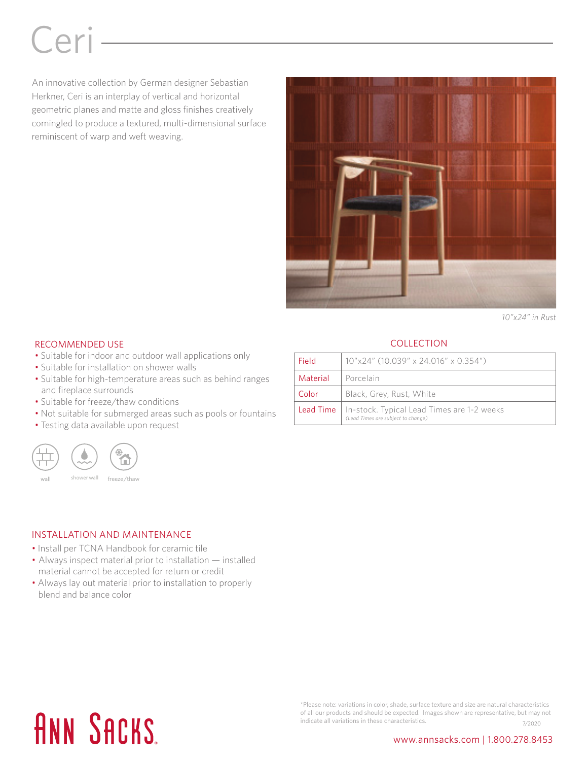# Ceri

An innovative collection by German designer Sebastian Herkner, Ceri is an interplay of vertical and horizontal geometric planes and matte and gloss finishes creatively comingled to produce a textured, multi-dimensional surface reminiscent of warp and weft weaving.



*10"x24" in Rust*

#### RECOMMENDED USE

- Suitable for indoor and outdoor wall applications only
- Suitable for installation on shower walls
- Suitable for high-temperature areas such as behind ranges and fireplace surrounds
- Suitable for freeze/thaw conditions
- Not suitable for submerged areas such as pools or fountains
- Testing data available upon request



### INSTALLATION AND MAINTENANCE

- Install per TCNA Handbook for ceramic tile
- Always inspect material prior to installation installed material cannot be accepted for return or credit
- Always lay out material prior to installation to properly blend and balance color

#### **COLLECTION**

| Field    | 10"x24" (10.039" x 24.016" x 0.354")                                                                |
|----------|-----------------------------------------------------------------------------------------------------|
| Material | Porcelain                                                                                           |
| Color    | Black, Grey, Rust, White                                                                            |
|          | <b>Lead Time</b>   In-stock. Typical Lead Times are 1-2 weeks<br>(Lead Times are subject to change) |

### **ANN SACKS**

\*Please note: variations in color, shade, surface texture and size are natural characteristics of all our products and should be expected. Images shown are representative, but may not indicate all variations in these characteristics.